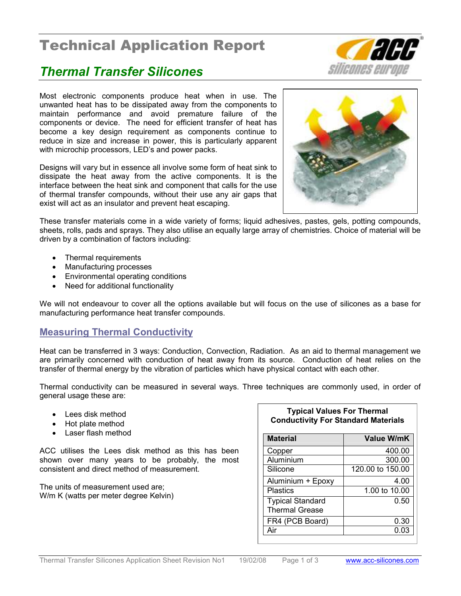# Technical Application Report

## Thermal Transfer Silicones

Most electronic components produce heat when in use. The unwanted heat has to be dissipated away from the components to maintain performance and avoid premature failure of the components or device. The need for efficient transfer of heat has become a key design requirement as components continue to reduce in size and increase in power, this is particularly apparent with microchip processors, LED's and power packs.

Designs will vary but in essence all involve some form of heat sink to dissipate the heat away from the active components. It is the interface between the heat sink and component that calls for the use of thermal transfer compounds, without their use any air gaps that exist will act as an insulator and prevent heat escaping.



These transfer materials come in a wide variety of forms; liquid adhesives, pastes, gels, potting compounds, sheets, rolls, pads and sprays. They also utilise an equally large array of chemistries. Choice of material will be driven by a combination of factors including:

- Thermal requirements
- Manufacturing processes
- Environmental operating conditions
- Need for additional functionality

We will not endeavour to cover all the options available but will focus on the use of silicones as a base for manufacturing performance heat transfer compounds.

## Measuring Thermal Conductivity

Heat can be transferred in 3 ways: Conduction, Convection, Radiation. As an aid to thermal management we are primarily concerned with conduction of heat away from its source. Conduction of heat relies on the transfer of thermal energy by the vibration of particles which have physical contact with each other.

Thermal conductivity can be measured in several ways. Three techniques are commonly used, in order of general usage these are:

- Lees disk method
- Hot plate method
- Laser flash method

ACC utilises the Lees disk method as this has been shown over many years to be probably, the most consistent and direct method of measurement.

The units of measurement used are; W/m K (watts per meter degree Kelvin)

### Typical Values For Thermal Conductivity For Standard Materials

| <b>Material</b>                                  | <b>Value W/mK</b> |
|--------------------------------------------------|-------------------|
| Copper                                           | 400.00            |
| Aluminium                                        | 300.00            |
| Silicone                                         | 120.00 to 150.00  |
| Aluminium + Epoxy                                | 4.00              |
| <b>Plastics</b>                                  | 1.00 to 10.00     |
| <b>Typical Standard</b><br><b>Thermal Grease</b> | 0.50              |
| FR4 (PCB Board)                                  | 0.30              |
| Air                                              | 0.03              |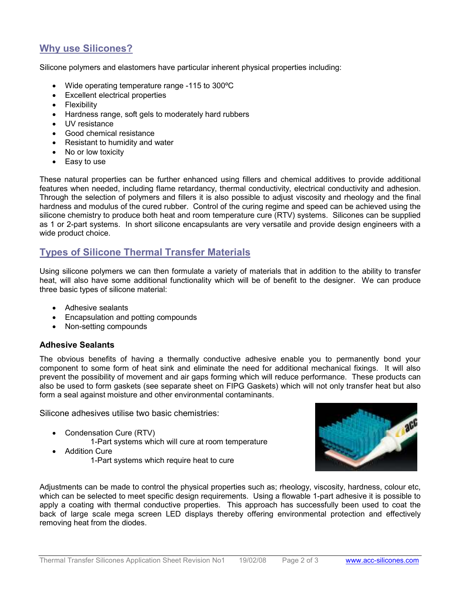## Why use Silicones?

Silicone polymers and elastomers have particular inherent physical properties including:

- Wide operating temperature range -115 to 300ºC
- Excellent electrical properties
- **Flexibility**
- Hardness range, soft gels to moderately hard rubbers
- UV resistance
- Good chemical resistance
- Resistant to humidity and water
- No or low toxicity
- Easy to use

These natural properties can be further enhanced using fillers and chemical additives to provide additional features when needed, including flame retardancy, thermal conductivity, electrical conductivity and adhesion. Through the selection of polymers and fillers it is also possible to adjust viscosity and rheology and the final hardness and modulus of the cured rubber. Control of the curing regime and speed can be achieved using the silicone chemistry to produce both heat and room temperature cure (RTV) systems. Silicones can be supplied as 1 or 2-part systems. In short silicone encapsulants are very versatile and provide design engineers with a wide product choice.

## Types of Silicone Thermal Transfer Materials

Using silicone polymers we can then formulate a variety of materials that in addition to the ability to transfer heat, will also have some additional functionality which will be of benefit to the designer. We can produce three basic types of silicone material:

- Adhesive sealants
- Encapsulation and potting compounds
- Non-setting compounds

### Adhesive Sealants

The obvious benefits of having a thermally conductive adhesive enable you to permanently bond your component to some form of heat sink and eliminate the need for additional mechanical fixings. It will also prevent the possibility of movement and air gaps forming which will reduce performance. These products can also be used to form gaskets (see separate sheet on FIPG Gaskets) which will not only transfer heat but also form a seal against moisture and other environmental contaminants.

Silicone adhesives utilise two basic chemistries:

- Condensation Cure (RTV)
	- 1-Part systems which will cure at room temperature
- **Addition Cure** 
	- 1-Part systems which require heat to cure



Adjustments can be made to control the physical properties such as; rheology, viscosity, hardness, colour etc, which can be selected to meet specific design requirements. Using a flowable 1-part adhesive it is possible to apply a coating with thermal conductive properties. This approach has successfully been used to coat the back of large scale mega screen LED displays thereby offering environmental protection and effectively removing heat from the diodes.